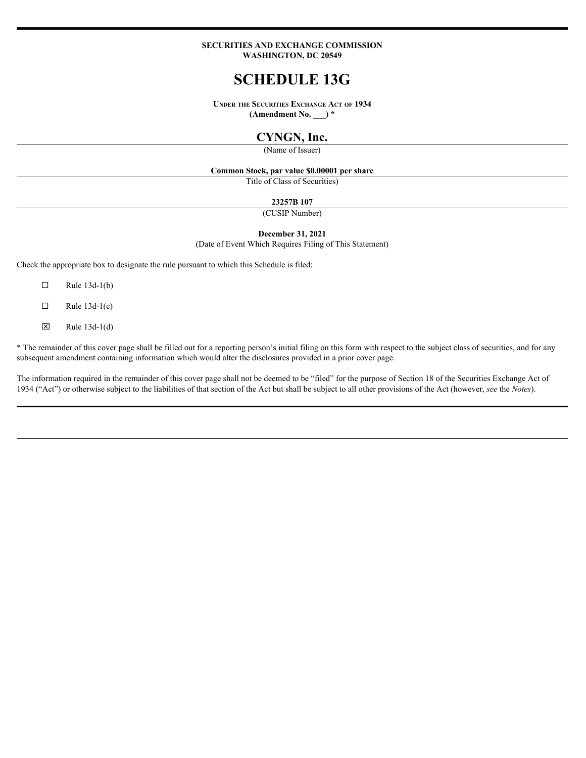#### **SECURITIES AND ExCHANGE COMMISSION WASHINGTON, DC 20549**

# **SCHEDULE 13G**

**UNDER THE SECURITIES ExCHANGE ACT OF 1934 (Amendment No. \_\_\_) \***

# **CYNGN, Inc.**

(Name of Issuer)

#### **Common Stock, par value \$0.00001 per share**

Title of Class of Securities)

#### **23257B 107**

(CUSIP Number)

#### **December 31, 2021**

(Date of Event Which Requires Filing of This Statement)

Check the appropriate box to designate the rule pursuant to which this Schedule is filed:

- $\Box$  Rule 13d-1(b)
- $\Box$  Rule 13d-1(c)
- $\boxtimes$  Rule 13d-1(d)

\* The remainder of this cover page shall be filled out for a reporting person's initial filing on this form with respect to the subject class of securities, and for any subsequent amendment containing information which would alter the disclosures provided in a prior cover page.

The information required in the remainder of this cover page shall not be deemed to be "filed" for the purpose of Section 18 of the Securities Exchange Act of 1934 ("Act") or otherwise subject to the liabilities of that section of the Act but shall be subject to all other provisions of the Act (however, *see* the *Notes*).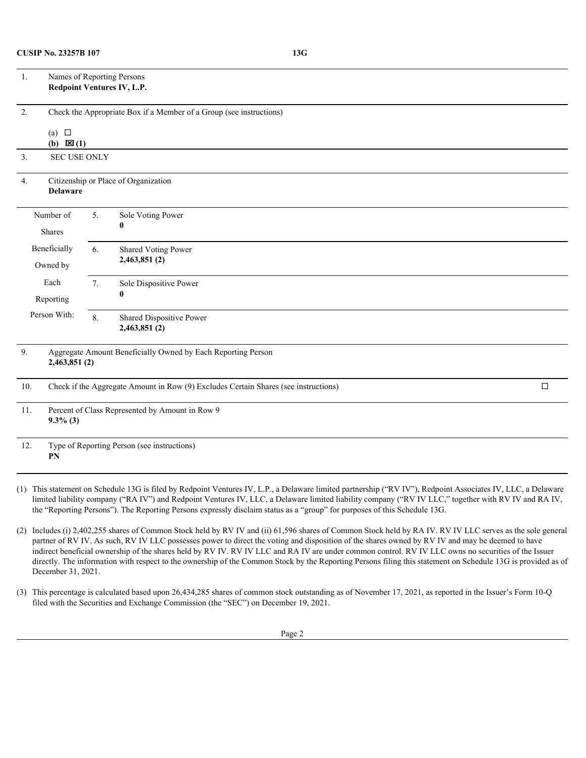| Names of Reporting Persons<br>1.<br>Redpoint Ventures IV, L.P.            |                                      |                                                  |                                                                                     |        |  |  |  |
|---------------------------------------------------------------------------|--------------------------------------|--------------------------------------------------|-------------------------------------------------------------------------------------|--------|--|--|--|
| 2.<br>Check the Appropriate Box if a Member of a Group (see instructions) |                                      |                                                  |                                                                                     |        |  |  |  |
|                                                                           | (a) $\square$<br>(b) $\boxtimes$ (1) |                                                  |                                                                                     |        |  |  |  |
| 3.                                                                        | <b>SEC USE ONLY</b>                  |                                                  |                                                                                     |        |  |  |  |
| 4.                                                                        | <b>Delaware</b>                      |                                                  | Citizenship or Place of Organization                                                |        |  |  |  |
| Number of<br>Shares                                                       |                                      | 5.                                               | Sole Voting Power<br>$\mathbf{0}$                                                   |        |  |  |  |
| Beneficially<br>Owned by                                                  |                                      | <b>Shared Voting Power</b><br>6.<br>2,463,851(2) |                                                                                     |        |  |  |  |
| Each<br>Reporting                                                         |                                      | 7.                                               | Sole Dispositive Power                                                              |        |  |  |  |
| Person With:                                                              |                                      | 8.                                               | Shared Dispositive Power<br>2,463,851(2)                                            |        |  |  |  |
| 9.                                                                        | 2,463,851(2)                         |                                                  | Aggregate Amount Beneficially Owned by Each Reporting Person                        |        |  |  |  |
| 10.                                                                       |                                      |                                                  | Check if the Aggregate Amount in Row (9) Excludes Certain Shares (see instructions) | $\Box$ |  |  |  |
| 11.                                                                       | $9.3\%$ (3)                          |                                                  | Percent of Class Represented by Amount in Row 9                                     |        |  |  |  |
| 12.                                                                       |                                      |                                                  | Type of Reporting Person (see instructions)                                         |        |  |  |  |

**PN**

(1) This statement on Schedule 13G is filed by Redpoint Ventures IV, L.P., a Delaware limited partnership ("RV IV"), Redpoint Associates IV, LLC, a Delaware limited liability company ("RA IV") and Redpoint Ventures IV, LLC, a Delaware limited liability company ("RV IV LLC," together with RV IV and RA IV, the "Reporting Persons"). The Reporting Persons expressly disclaim status as a "group" for purposes of this Schedule 13G.

(2) Includes (i) 2,402,255 shares of Common Stock held by RV IV and (ii) 61,596 shares of Common Stock held by RA IV. RV IV LLC serves as the sole general partner of RV IV. As such, RV IV LLC possesses power to direct the voting and disposition of the shares owned by RV IV and may be deemed to have indirect beneficial ownership of the shares held by RV IV. RV IV LLC and RA IV are under common control. RV IV LLC owns no securities of the Issuer directly. The information with respect to the ownership of the Common Stock by the Reporting Persons filing this statement on Schedule 13G is provided as of December 31, 2021.

(3) This percentage is calculated based upon 26,434,285 shares of common stock outstanding as of November 17, 2021, as reported in the Issuer's Form 10-Q filed with the Securities and Exchange Commission (the "SEC") on December 19, 2021.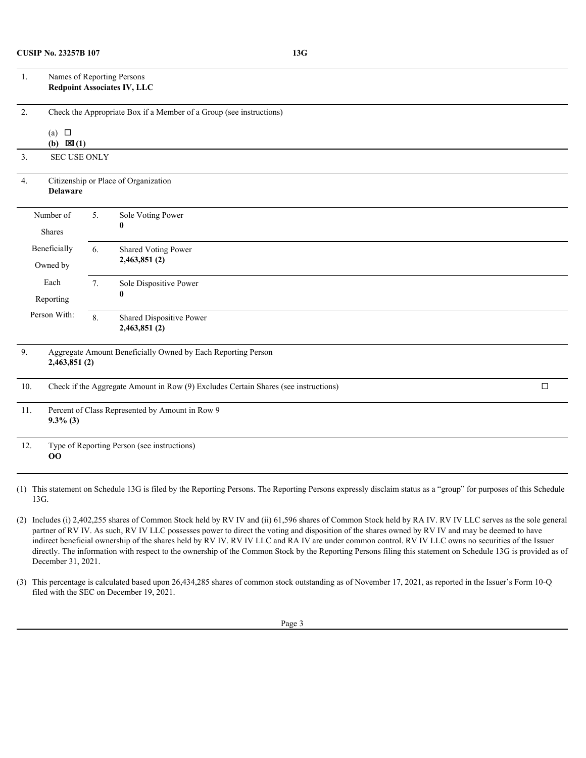| Names of Reporting Persons<br>$\mathbf{1}$ .<br><b>Redpoint Associates IV, LLC</b>                                     |                                           |                                          |  |  |  |  |  |
|------------------------------------------------------------------------------------------------------------------------|-------------------------------------------|------------------------------------------|--|--|--|--|--|
| 2.<br>Check the Appropriate Box if a Member of a Group (see instructions)<br>(a) $\Box$<br>(b) $\mathbf{\boxtimes}(1)$ |                                           |                                          |  |  |  |  |  |
| <b>SEC USE ONLY</b><br>3.                                                                                              |                                           |                                          |  |  |  |  |  |
| Citizenship or Place of Organization<br>4.<br>Delaware                                                                 |                                           |                                          |  |  |  |  |  |
| Number of<br>Shares                                                                                                    | Sole Voting Power<br>5.<br>$\mathbf{0}$   |                                          |  |  |  |  |  |
| Beneficially<br>Owned by                                                                                               | Shared Voting Power<br>6.<br>2,463,851(2) |                                          |  |  |  |  |  |
| Each<br>Reporting                                                                                                      | 7.                                        | Sole Dispositive Power<br>$\mathbf{0}$   |  |  |  |  |  |
| Person With:                                                                                                           | 8.                                        | Shared Dispositive Power<br>2,463,851(2) |  |  |  |  |  |
| Aggregate Amount Beneficially Owned by Each Reporting Person<br>9.<br>2,463,851(2)                                     |                                           |                                          |  |  |  |  |  |
| Check if the Aggregate Amount in Row (9) Excludes Certain Shares (see instructions)<br>$\Box$<br>10.                   |                                           |                                          |  |  |  |  |  |
| Percent of Class Represented by Amount in Row 9<br>11.<br>$9.3\%$ (3)                                                  |                                           |                                          |  |  |  |  |  |
| Type of Reporting Person (see instructions)<br>12.<br>$00\,$                                                           |                                           |                                          |  |  |  |  |  |
|                                                                                                                        |                                           |                                          |  |  |  |  |  |

(1) This statement on Schedule 13G is filed by the Reporting Persons. The Reporting Persons expressly disclaim status as a "group" for purposes of this Schedule 13G.

(2) Includes (i) 2,402,255 shares of Common Stock held by RV IV and (ii) 61,596 shares of Common Stock held by RA IV. RV IV LLC serves as the sole general partner of RV IV. As such, RV IV LLC possesses power to direct the voting and disposition of the shares owned by RV IV and may be deemed to have indirect beneficial ownership of the shares held by RV IV. RV IV LLC and RA IV are under common control. RV IV LLC owns no securities of the Issuer directly. The information with respect to the ownership of the Common Stock by the Reporting Persons filing this statement on Schedule 13G is provided as of December 31, 2021.

(3) This percentage is calculated based upon 26,434,285 shares of common stock outstanding as of November 17, 2021, as reported in the Issuer's Form 10-Q filed with the SEC on December 19, 2021.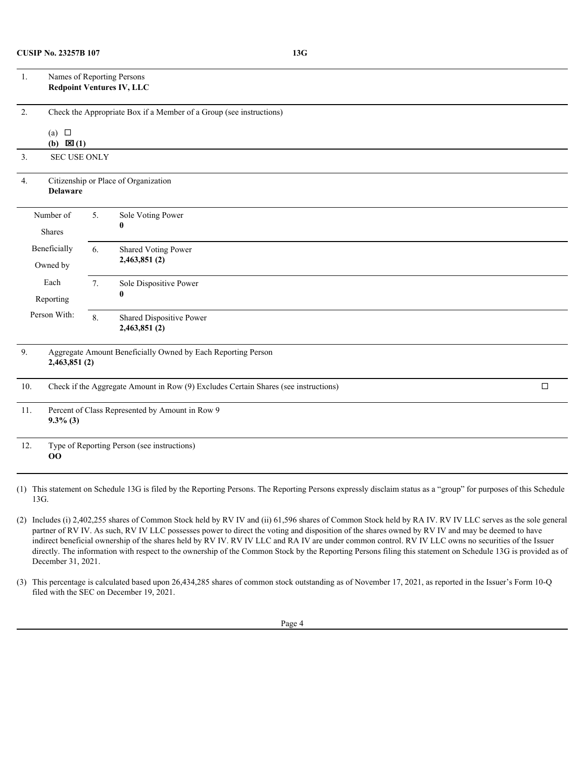| Names of Reporting Persons<br>1.<br><b>Redpoint Ventures IV, LLC</b>                                 |                                                                   |    |                                          |  |  |  |  |  |
|------------------------------------------------------------------------------------------------------|-------------------------------------------------------------------|----|------------------------------------------|--|--|--|--|--|
| 2.<br>Check the Appropriate Box if a Member of a Group (see instructions)<br>(a) $\Box$              |                                                                   |    |                                          |  |  |  |  |  |
|                                                                                                      | (b) $\mathbf{\boxtimes}(1)$                                       |    |                                          |  |  |  |  |  |
| 3.<br>SEC USE ONLY                                                                                   |                                                                   |    |                                          |  |  |  |  |  |
| Citizenship or Place of Organization<br>4.<br><b>Delaware</b>                                        |                                                                   |    |                                          |  |  |  |  |  |
|                                                                                                      | 5.<br>Sole Voting Power<br>Number of<br>Shares                    |    |                                          |  |  |  |  |  |
| Beneficially<br>Owned by                                                                             |                                                                   | 6. | Shared Voting Power<br>2,463,851(2)      |  |  |  |  |  |
|                                                                                                      | Each<br>Sole Dispositive Power<br>7.<br>$\mathbf{0}$<br>Reporting |    |                                          |  |  |  |  |  |
| Person With:                                                                                         |                                                                   | 8. | Shared Dispositive Power<br>2,463,851(2) |  |  |  |  |  |
| 9.<br>Aggregate Amount Beneficially Owned by Each Reporting Person<br>2,463,851(2)                   |                                                                   |    |                                          |  |  |  |  |  |
| $\Box$<br>Check if the Aggregate Amount in Row (9) Excludes Certain Shares (see instructions)<br>10. |                                                                   |    |                                          |  |  |  |  |  |
| Percent of Class Represented by Amount in Row 9<br>11.<br>$9.3\%$ (3)                                |                                                                   |    |                                          |  |  |  |  |  |
| 12.<br>Type of Reporting Person (see instructions)<br>00                                             |                                                                   |    |                                          |  |  |  |  |  |

(1) This statement on Schedule 13G is filed by the Reporting Persons. The Reporting Persons expressly disclaim status as a "group" for purposes of this Schedule 13G.

(2) Includes (i) 2,402,255 shares of Common Stock held by RV IV and (ii) 61,596 shares of Common Stock held by RA IV. RV IV LLC serves as the sole general partner of RV IV. As such, RV IV LLC possesses power to direct the voting and disposition of the shares owned by RV IV and may be deemed to have indirect beneficial ownership of the shares held by RV IV. RV IV LLC and RA IV are under common control. RV IV LLC owns no securities of the Issuer directly. The information with respect to the ownership of the Common Stock by the Reporting Persons filing this statement on Schedule 13G is provided as of December 31, 2021.

(3) This percentage is calculated based upon 26,434,285 shares of common stock outstanding as of November 17, 2021, as reported in the Issuer's Form 10-Q filed with the SEC on December 19, 2021.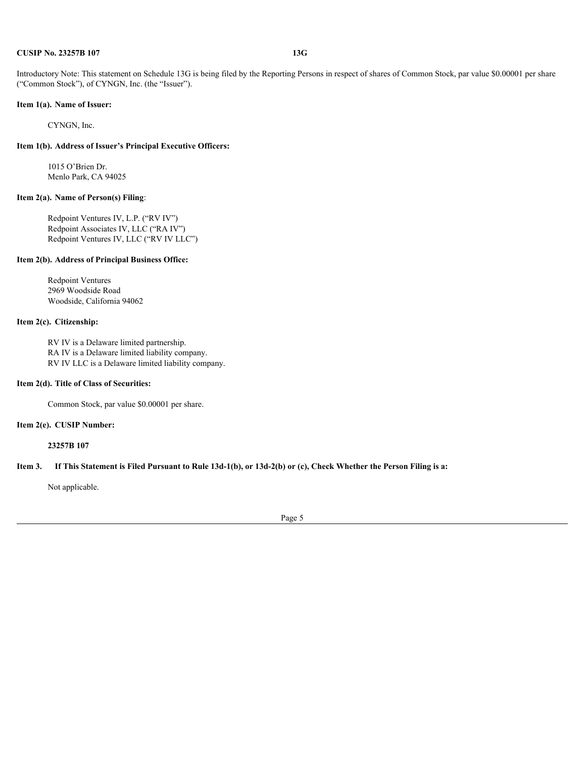#### **CUSIP No. 23257B 107 13G**

Introductory Note: This statement on Schedule 13G is being filed by the Reporting Persons in respect of shares of Common Stock, par value \$0.00001 per share ("Common Stock"), of CYNGN, Inc. (the "Issuer").

## **Item 1(a). Name of Issuer:**

CYNGN, Inc.

#### **Item 1(b). Address of Issuer's Principal Executive Officers:**

1015 O'Brien Dr. Menlo Park, CA 94025

#### **Item 2(a). Name of Person(s) Filing**:

Redpoint Ventures IV, L.P. ("RV IV") Redpoint Associates IV, LLC ("RA IV") Redpoint Ventures IV, LLC ("RV IV LLC")

#### **Item 2(b). Address of Principal Business Office:**

Redpoint Ventures 2969 Woodside Road Woodside, California 94062

### **Item 2(c). Citizenship:**

RV IV is a Delaware limited partnership. RA IV is a Delaware limited liability company. RV IV LLC is a Delaware limited liability company.

#### **Item 2(d). Title of Class of Securities:**

Common Stock, par value \$0.00001 per share.

#### **Item 2(e). CUSIP Number:**

**23257B 107**

#### **Item 3. If This Statement is Filed Pursuant to Rule 13d-1(b), or 13d-2(b) or (c), Check Whether the Person Filing is a:**

Not applicable.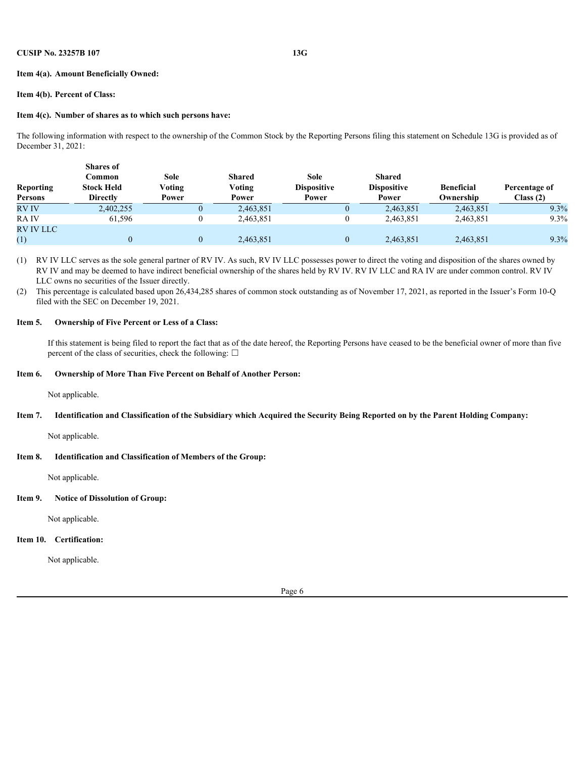#### **Item 4(a). Amount Beneficially Owned:**

#### **Item 4(b). Percent of Class:**

#### **Item 4(c). Number of shares as to which such persons have:**

The following information with respect to the ownership of the Common Stock by the Reporting Persons filing this statement on Schedule 13G is provided as of December 31, 2021:

|                  | <b>Shares</b> of  |        |               |                    |                    |                   |               |
|------------------|-------------------|--------|---------------|--------------------|--------------------|-------------------|---------------|
|                  | Common            | Sole   | <b>Shared</b> | Sole               | <b>Shared</b>      |                   |               |
| <b>Reporting</b> | <b>Stock Held</b> | Voting | Voting        | <b>Dispositive</b> | <b>Dispositive</b> | <b>Beneficial</b> | Percentage of |
| Persons          | <b>Directly</b>   | Power  | Power         | Power              | Power              | Ownership         | Class(2)      |
| <b>RVIV</b>      | 2,402,255         |        | 2,463,851     |                    | 2,463,851          | 2,463,851         | 9.3%          |
| <b>RAIV</b>      | 61,596            |        | 2,463,851     |                    | 2,463,851          | 2,463,851         | 9.3%          |
| <b>RV IV LLC</b> |                   |        |               |                    |                    |                   |               |
| (1)              |                   |        | 2,463,851     |                    | 2,463,851          | 2,463,851         | 9.3%          |

(1) RV IV LLC serves as the sole general partner of RV IV. As such, RV IV LLC possesses power to direct the voting and disposition of the shares owned by RV IV and may be deemed to have indirect beneficial ownership of the shares held by RV IV. RV IV LLC and RA IV are under common control. RV IV LLC owns no securities of the Issuer directly.

(2) This percentage is calculated based upon 26,434,285 shares of common stock outstanding as of November 17, 2021, as reported in the Issuer's Form 10-Q filed with the SEC on December 19, 2021.

#### **Item 5. Ownership of Five Percent or Less of a Class:**

If this statement is being filed to report the fact that as of the date hereof, the Reporting Persons have ceased to be the beneficial owner of more than five percent of the class of securities, check the following:  $\Box$ 

#### **Item 6. Ownership of More Than Five Percent on Behalf of Another Person:**

Not applicable.

#### **Item 7. Identification and Classification of the Subsidiary which Acquired the Security Being Reported on by the Parent Holding Company:**

Not applicable.

#### **Item 8. Identification and Classification of Members of the Group:**

Not applicable.

#### **Item 9. Notice of Dissolution of Group:**

Not applicable.

#### **Item 10. Certification:**

Not applicable.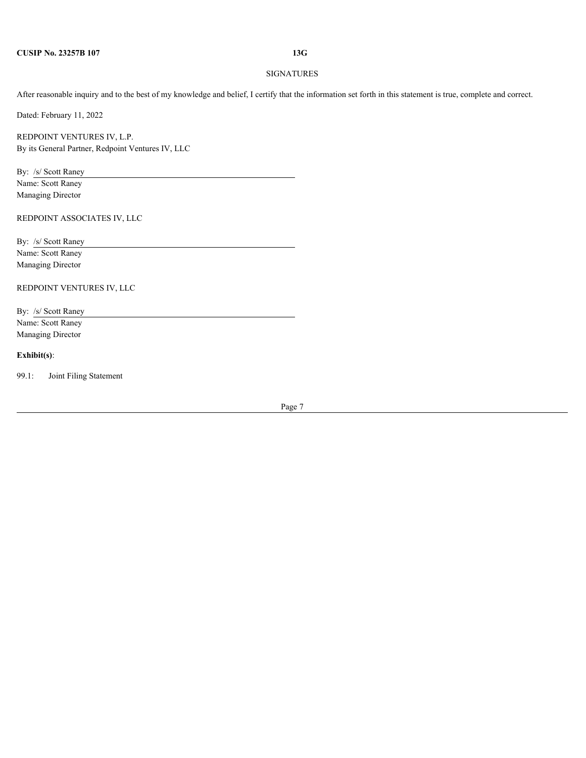#### SIGNATURES

After reasonable inquiry and to the best of my knowledge and belief, I certify that the information set forth in this statement is true, complete and correct.

Dated: February 11, 2022

REDPOINT VENTURES IV, L.P. By its General Partner, Redpoint Ventures IV, LLC

By: /s/ Scott Raney Name: Scott Raney Managing Director

REDPOINT ASSOCIATES IV, LLC

By: /s/ Scott Raney Name: Scott Raney Managing Director

REDPOINT VENTURES IV, LLC

By: /s/ Scott Raney Name: Scott Raney Managing Director

#### **Exhibit(s)**:

99.1: Joint Filing Statement